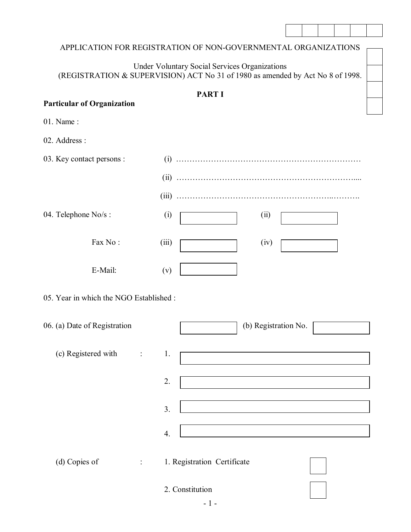|                                         | APPLICATION FOR REGISTRATION OF NON-GOVERNMENTAL ORGANIZATIONS                                                                         |
|-----------------------------------------|----------------------------------------------------------------------------------------------------------------------------------------|
|                                         | <b>Under Voluntary Social Services Organizations</b><br>(REGISTRATION & SUPERVISION) ACT No 31 of 1980 as amended by Act No 8 of 1998. |
|                                         |                                                                                                                                        |
| <b>Particular of Organization</b>       | <b>PART I</b>                                                                                                                          |
| 01. Name:                               |                                                                                                                                        |
| 02. Address:                            |                                                                                                                                        |
| 03. Key contact persons :               |                                                                                                                                        |
|                                         |                                                                                                                                        |
|                                         |                                                                                                                                        |
| 04. Telephone No/s:<br>(i)              | (ii)                                                                                                                                   |
| Fax No:<br>(iii)                        | (iv)                                                                                                                                   |
| E-Mail:<br>(v)                          |                                                                                                                                        |
| 05. Year in which the NGO Established : |                                                                                                                                        |
| 06. (a) Date of Registration            | (b) Registration No.                                                                                                                   |
| (c) Registered with<br>1.               |                                                                                                                                        |
| 2.                                      |                                                                                                                                        |
| 3.                                      |                                                                                                                                        |
| $\overline{4}$ .                        |                                                                                                                                        |
| (d) Copies of                           | 1. Registration Certificate                                                                                                            |
|                                         | 2. Constitution<br>$-1-$                                                                                                               |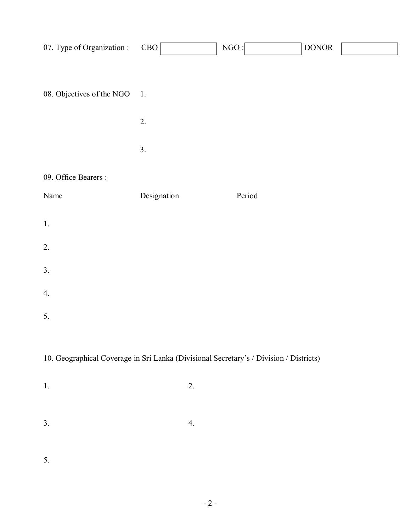| 07. Type of Organization :                                                             | CBO            | NGO:   | $\operatorname{DONOR}$ |  |  |
|----------------------------------------------------------------------------------------|----------------|--------|------------------------|--|--|
|                                                                                        |                |        |                        |  |  |
| 08. Objectives of the NGO                                                              | $\mathbf{1}$ . |        |                        |  |  |
|                                                                                        |                |        |                        |  |  |
|                                                                                        | 2.             |        |                        |  |  |
|                                                                                        | 3.             |        |                        |  |  |
| 09. Office Bearers :                                                                   |                |        |                        |  |  |
| Name                                                                                   | Designation    | Period |                        |  |  |
| 1.                                                                                     |                |        |                        |  |  |
| 2.                                                                                     |                |        |                        |  |  |
| 3.                                                                                     |                |        |                        |  |  |
| 4.                                                                                     |                |        |                        |  |  |
| 5.                                                                                     |                |        |                        |  |  |
|                                                                                        |                |        |                        |  |  |
| 10. Geographical Coverage in Sri Lanka (Divisional Secretary's / Division / Districts) |                |        |                        |  |  |
| 1.                                                                                     | 2.             |        |                        |  |  |
|                                                                                        |                |        |                        |  |  |
| 3.                                                                                     | 4.             |        |                        |  |  |
|                                                                                        |                |        |                        |  |  |

5.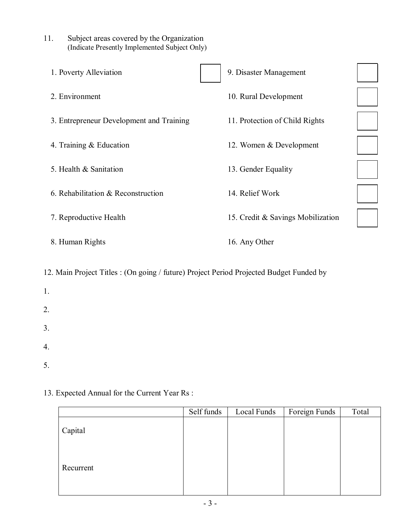| (Indicate Presently Implemented Subject Only) |                                   |
|-----------------------------------------------|-----------------------------------|
| 1. Poverty Alleviation                        | 9. Disaster Management            |
| 2. Environment                                | 10. Rural Development             |
| 3. Entrepreneur Development and Training      | 11. Protection of Child Rights    |
| 4. Training $& Education$                     | 12. Women & Development           |
| 5. Health & Sanitation                        | 13. Gender Equality               |
| 6. Rehabilitation & Reconstruction            | 14. Relief Work                   |
| 7. Reproductive Health                        | 15. Credit & Savings Mobilization |
| 8. Human Rights                               | 16. Any Other                     |
|                                               |                                   |

12. Main Project Titles : (On going / future) Project Period Projected Budget Funded by

1. 2. 3. 4. 5.

### 13. Expected Annual for the Current Year Rs :

11. Subject areas covered by the Organization

|           | Self funds | Local Funds | Foreign Funds | Total |
|-----------|------------|-------------|---------------|-------|
| Capital   |            |             |               |       |
| Recurrent |            |             |               |       |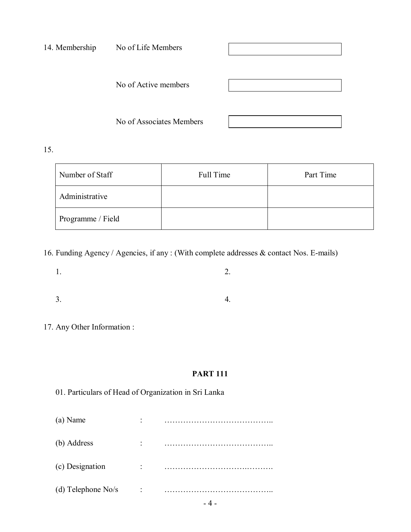| 14. Membership | No of Life Members       |  |  |  |  |
|----------------|--------------------------|--|--|--|--|
|                | No of Active members     |  |  |  |  |
|                | No of Associates Members |  |  |  |  |

15.

| Number of Staff   | Full Time | Part Time |
|-------------------|-----------|-----------|
| Administrative    |           |           |
| Programme / Field |           |           |

16. Funding Agency / Agencies, if any : (With complete addresses & contact Nos. E-mails)

 $1.$  2.

- $3.$  4.
- 17. Any Other Information :

### **PART 111**

|  | 01. Particulars of Head of Organization in Sri Lanka |  |  |  |  |  |  |
|--|------------------------------------------------------|--|--|--|--|--|--|
|--|------------------------------------------------------|--|--|--|--|--|--|

| ٠ |  |
|---|--|
| ٠ |  |
| ٠ |  |
| ٠ |  |
|   |  |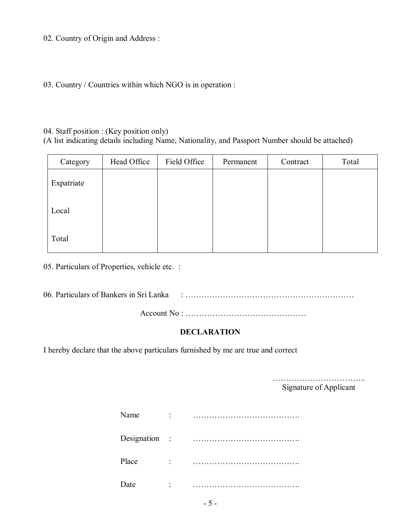02. Country of Origin and Address :

03. Country / Countries within which NGO is in operation :

#### 04. Staff position : (Key position only)

(A list indicating details including Name, Nationality, and Passport Number should be attached)

| Category   | Head Office | Field Office | Permanent | Contract | Total |
|------------|-------------|--------------|-----------|----------|-------|
| Expatriate |             |              |           |          |       |
| Local      |             |              |           |          |       |
| Total      |             |              |           |          |       |

05. Particulars of Properties, vehicle etc. :

06. Particulars of Bankers in Sri Lanka : ………………………………………………………

Account No : ………………………………………

#### **DECLARATION**

I hereby declare that the above particulars furnished by me are true and correct

…………………………….. Signature of Applicant

| Name          | ٠ |  |
|---------------|---|--|
| Designation : |   |  |
| Place         | ٠ |  |
| Date          |   |  |

- 5 -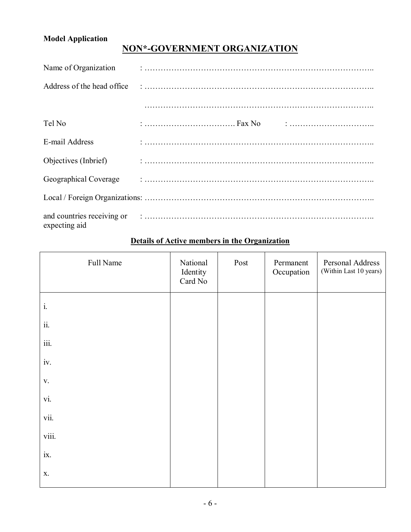# **Model Application**

# **NON\*-GOVERNMENT ORGANIZATION**

| Name of Organization        |  |
|-----------------------------|--|
| Address of the head office. |  |
|                             |  |
| Tel No                      |  |
| E-mail Address              |  |
| Objectives (Inbrief)        |  |
| Geographical Coverage       |  |
|                             |  |
| expecting aid               |  |

# Full Name National Identity Card No Post Permanent **Occupation** Personal Address (Within Last 10 years) i. ii. iii. iv. v. vi. vii. viii. ix. x.

#### **Details of Active members in the Organization**